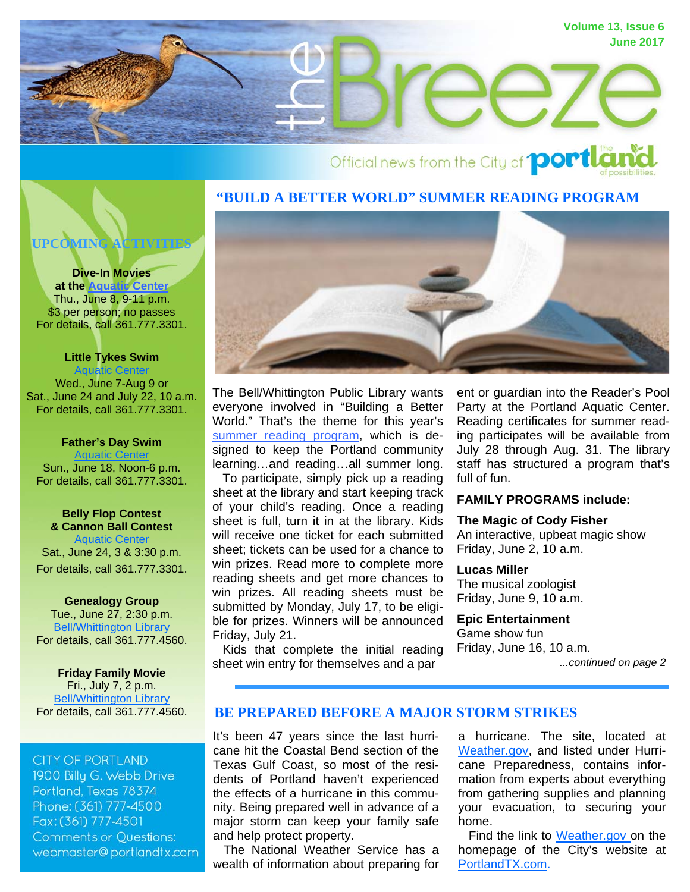

# Official news from the City of **portla**

## **"BUILD A BETTER WORLD" SUMMER READING PROGRAM**

**UPCOMING ACTIVITIES** 

#### **Dive-In Movies**

**at the [Aquatic Center](http://portlandtx.com/index.aspx?nid=127)** Thu., June 8, 9-11 p.m. \$3 per person; no passes For details, call 361.777.3301.

**Little Tykes Swim**  [Aquatic Center](http://portlandtx.com/index.aspx?nid=127) Wed., June 7-Aug 9 or Sat., June 24 and July 22, 10 a.m. For details, call 361.777.3301.

#### **Father's Day Swim** [Aquatic Center](http://portlandtx.com/index.aspx?nid=127) Sun., June 18, Noon-6 p.m. For details, call 361.777.3301.

**Belly Flop Contest & Cannon Ball Contest [Aquatic Center](http://portlandtx.com/index.aspx?nid=127)** Sat., June 24, 3 & 3:30 p.m. For details, call 361.777.3301.

**Genealogy Group**  Tue., June 27, 2:30 p.m. [Bell/Whittington Library](http://portlandtx.com/index.aspx?nid=181) For details, call 361.777.4560.

#### **Friday Family Movie**  Fri., July 7, 2 p.m.

[Bell/Whittington Library](http://portlandtx.com/index.aspx?nid=181) For details, call 361.777.4560.

### **CITY OF PORTLAND**

1900 Billu G. Webb Drive Portland, Texas 78374 Phone: (361) 777-4500 Fax: (361) 777-4501 **Comments or Questions:** webmaster@portlandtx.com



The Bell/Whittington Public Library wants everyone involved in "Building a Better World." That's the theme for this year's [summer reading program,](http://www.portlandtx.com/index.aspx?nid=181) which is designed to keep the Portland community learning…and reading…all summer long. To participate, simply pick up a reading sheet at the library and start keeping track of your child's reading. Once a reading sheet is full, turn it in at the library. Kids will receive one ticket for each submitted sheet; tickets can be used for a chance to win prizes. Read more to complete more reading sheets and get more chances to win prizes. All reading sheets must be submitted by Monday, July 17, to be eligible for prizes. Winners will be announced Friday, July 21.

 Kids that complete the initial reading sheet win entry for themselves and a par

ent or guardian into the Reader's Pool Party at the Portland Aquatic Center. Reading certificates for summer reading participates will be available from July 28 through Aug. 31. The library staff has structured a program that's full of fun.

#### **FAMILY PROGRAMS include:**

## **The Magic of Cody Fisher**  An interactive, upbeat magic show Friday, June 2, 10 a.m.

#### **Lucas Miller**

The musical zoologist Friday, June 9, 10 a.m.

#### **Epic Entertainment**

Game show fun Friday, June 16, 10 a.m.

*...continued on page 2*

# **BE PREPARED BEFORE A MAJOR STORM STRIKES**

It's been 47 years since the last hurricane hit the Coastal Bend section of the Texas Gulf Coast, so most of the residents of Portland haven't experienced the effects of a hurricane in this community. Being prepared well in advance of a major storm can keep your family safe and help protect property.

 The National Weather Service has a wealth of information about preparing for

a hurricane. The site, located at [Weather.gov](http://www.weather.gov/wrn/hurricane-preparedness), and listed under Hurricane Preparedness, contains information from experts about everything from gathering supplies and planning your evacuation, to securing your home.

Find the link to [Weather.gov](http://www.weather.gov/wrn/hurricane-preparedness) on the homepage of the City's website at [PortlandTX.com.](http://portlandtx.com/)